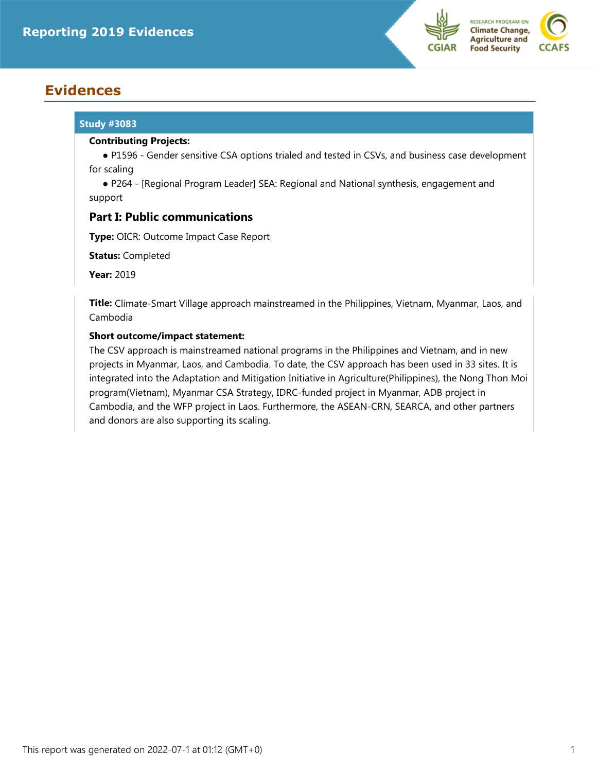

# **Evidences**

# **Study #3083**

# **Contributing Projects:**

 ● P1596 - Gender sensitive CSA options trialed and tested in CSVs, and business case development for scaling

 ● P264 - [Regional Program Leader] SEA: Regional and National synthesis, engagement and support

# **Part I: Public communications**

**Type:** OICR: Outcome Impact Case Report

**Status:** Completed

**Year:** 2019

**Title:** Climate-Smart Village approach mainstreamed in the Philippines, Vietnam, Myanmar, Laos, and Cambodia

# **Short outcome/impact statement:**

The CSV approach is mainstreamed national programs in the Philippines and Vietnam, and in new projects in Myanmar, Laos, and Cambodia. To date, the CSV approach has been used in 33 sites. It is integrated into the Adaptation and Mitigation Initiative in Agriculture(Philippines), the Nong Thon Moi program(Vietnam), Myanmar CSA Strategy, IDRC-funded project in Myanmar, ADB project in Cambodia, and the WFP project in Laos. Furthermore, the ASEAN-CRN, SEARCA, and other partners and donors are also supporting its scaling.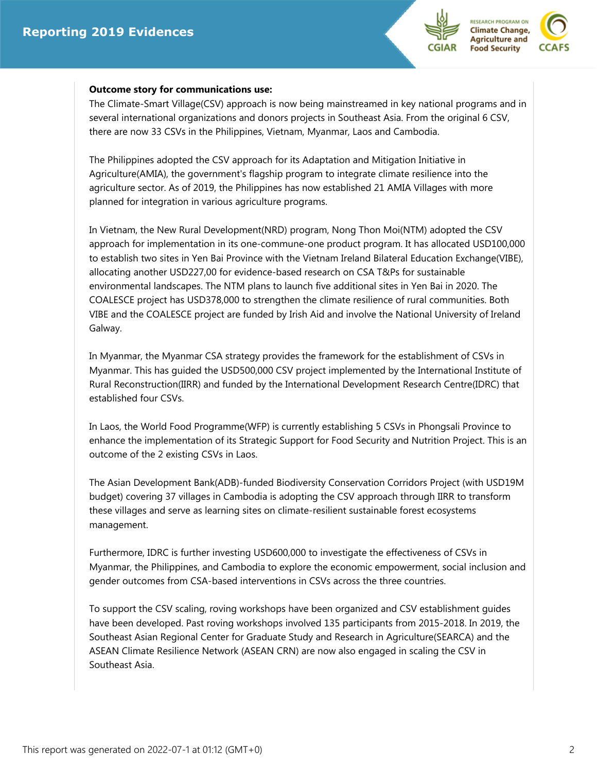



### **Outcome story for communications use:**

The Climate-Smart Village(CSV) approach is now being mainstreamed in key national programs and in several international organizations and donors projects in Southeast Asia. From the original 6 CSV, there are now 33 CSVs in the Philippines, Vietnam, Myanmar, Laos and Cambodia.

The Philippines adopted the CSV approach for its Adaptation and Mitigation Initiative in Agriculture(AMIA), the government's flagship program to integrate climate resilience into the agriculture sector. As of 2019, the Philippines has now established 21 AMIA Villages with more planned for integration in various agriculture programs.

In Vietnam, the New Rural Development(NRD) program, Nong Thon Moi(NTM) adopted the CSV approach for implementation in its one-commune-one product program. It has allocated USD100,000 to establish two sites in Yen Bai Province with the Vietnam Ireland Bilateral Education Exchange(VIBE), allocating another USD227,00 for evidence-based research on CSA T&Ps for sustainable environmental landscapes. The NTM plans to launch five additional sites in Yen Bai in 2020. The COALESCE project has USD378,000 to strengthen the climate resilience of rural communities. Both VIBE and the COALESCE project are funded by Irish Aid and involve the National University of Ireland Galway.

In Myanmar, the Myanmar CSA strategy provides the framework for the establishment of CSVs in Myanmar. This has guided the USD500,000 CSV project implemented by the International Institute of Rural Reconstruction(IIRR) and funded by the International Development Research Centre(IDRC) that established four CSVs.

In Laos, the World Food Programme(WFP) is currently establishing 5 CSVs in Phongsali Province to enhance the implementation of its Strategic Support for Food Security and Nutrition Project. This is an outcome of the 2 existing CSVs in Laos.

The Asian Development Bank(ADB)-funded Biodiversity Conservation Corridors Project (with USD19M budget) covering 37 villages in Cambodia is adopting the CSV approach through IIRR to transform these villages and serve as learning sites on climate-resilient sustainable forest ecosystems management.

Furthermore, IDRC is further investing USD600,000 to investigate the effectiveness of CSVs in Myanmar, the Philippines, and Cambodia to explore the economic empowerment, social inclusion and gender outcomes from CSA-based interventions in CSVs across the three countries.

To support the CSV scaling, roving workshops have been organized and CSV establishment guides have been developed. Past roving workshops involved 135 participants from 2015-2018. In 2019, the Southeast Asian Regional Center for Graduate Study and Research in Agriculture(SEARCA) and the ASEAN Climate Resilience Network (ASEAN CRN) are now also engaged in scaling the CSV in Southeast Asia.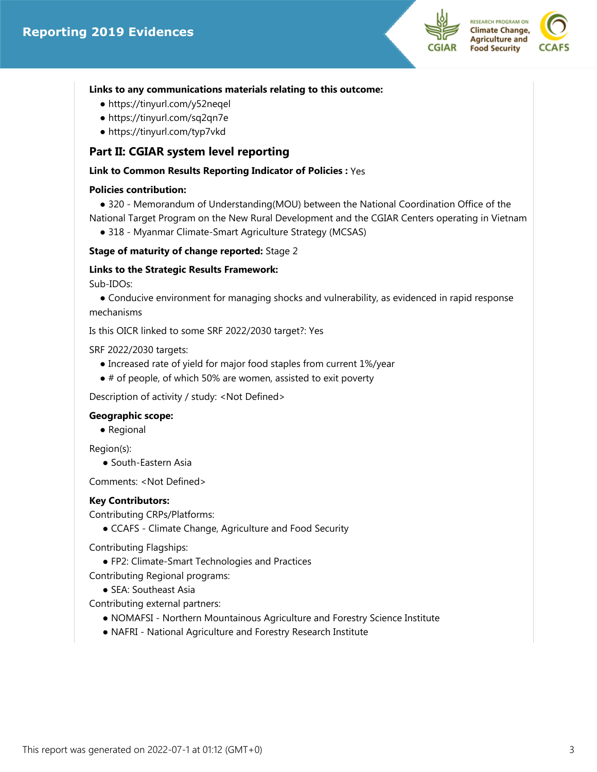



#### **Links to any communications materials relating to this outcome:**

- https://tinyurl.com/y52neqel
- https://tinyurl.com/sq2qn7e
- https://tinyurl.com/typ7vkd

# **Part II: CGIAR system level reporting**

# **Link to Common Results Reporting Indicator of Policies :** Yes

#### **Policies contribution:**

 ● 320 - Memorandum of Understanding(MOU) between the National Coordination Office of the National Target Program on the New Rural Development and the CGIAR Centers operating in Vietnam

● 318 - Myanmar Climate-Smart Agriculture Strategy (MCSAS)

#### **Stage of maturity of change reported:** Stage 2

#### **Links to the Strategic Results Framework:**

Sub-IDOs:

• Conducive environment for managing shocks and vulnerability, as evidenced in rapid response mechanisms

Is this OICR linked to some SRF 2022/2030 target?: Yes

SRF 2022/2030 targets:

- Increased rate of yield for major food staples from current 1%/year
- # of people, of which 50% are women, assisted to exit poverty

Description of activity / study: <Not Defined>

#### **Geographic scope:**

● Regional

Region(s):

● South-Eastern Asia

Comments: <Not Defined>

#### **Key Contributors:**

Contributing CRPs/Platforms:

● CCAFS - Climate Change, Agriculture and Food Security

Contributing Flagships:

- FP2: Climate-Smart Technologies and Practices
- Contributing Regional programs:
	- SEA: Southeast Asia

Contributing external partners:

- NOMAFSI Northern Mountainous Agriculture and Forestry Science Institute
- NAFRI National Agriculture and Forestry Research Institute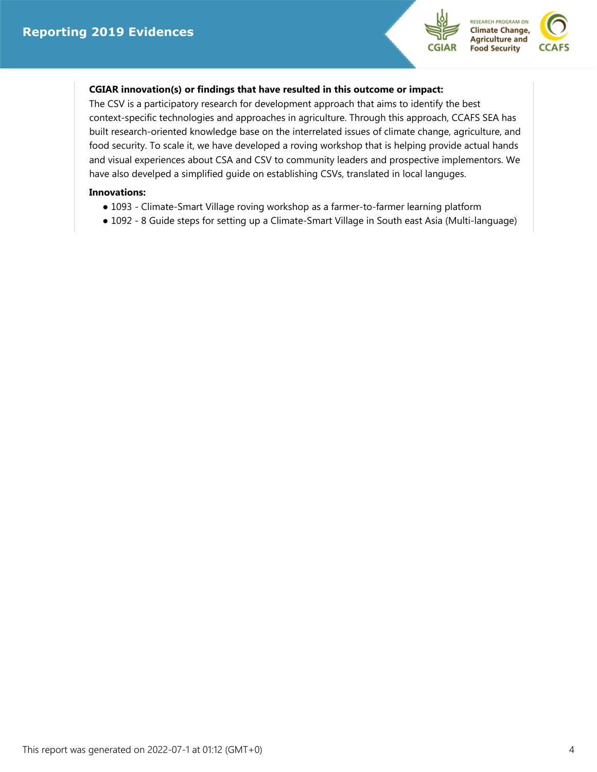



# **CGIAR innovation(s) or findings that have resulted in this outcome or impact:**

The CSV is a participatory research for development approach that aims to identify the best context-specific technologies and approaches in agriculture. Through this approach, CCAFS SEA has built research-oriented knowledge base on the interrelated issues of climate change, agriculture, and food security. To scale it, we have developed a roving workshop that is helping provide actual hands and visual experiences about CSA and CSV to community leaders and prospective implementors. We have also develped a simplified guide on establishing CSVs, translated in local languges.

# **Innovations:**

- 1093 Climate-Smart Village roving workshop as a farmer-to-farmer learning platform
- 1092 8 Guide steps for setting up a Climate-Smart Village in South east Asia (Multi-language)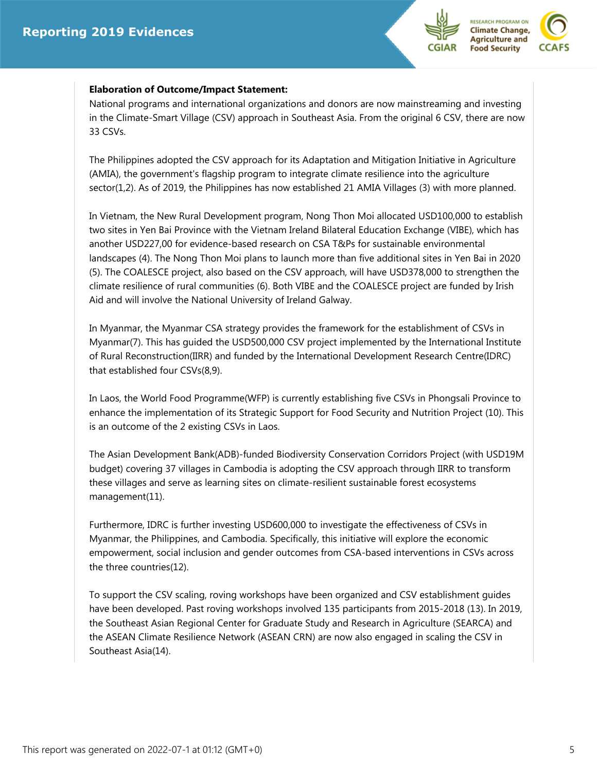



#### **Elaboration of Outcome/Impact Statement:**

National programs and international organizations and donors are now mainstreaming and investing in the Climate-Smart Village (CSV) approach in Southeast Asia. From the original 6 CSV, there are now 33 CSVs.

The Philippines adopted the CSV approach for its Adaptation and Mitigation Initiative in Agriculture (AMIA), the government's flagship program to integrate climate resilience into the agriculture sector(1,2). As of 2019, the Philippines has now established 21 AMIA Villages (3) with more planned.

In Vietnam, the New Rural Development program, Nong Thon Moi allocated USD100,000 to establish two sites in Yen Bai Province with the Vietnam Ireland Bilateral Education Exchange (VIBE), which has another USD227,00 for evidence-based research on CSA T&Ps for sustainable environmental landscapes (4). The Nong Thon Moi plans to launch more than five additional sites in Yen Bai in 2020 (5). The COALESCE project, also based on the CSV approach, will have USD378,000 to strengthen the climate resilience of rural communities (6). Both VIBE and the COALESCE project are funded by Irish Aid and will involve the National University of Ireland Galway.

In Myanmar, the Myanmar CSA strategy provides the framework for the establishment of CSVs in Myanmar(7). This has guided the USD500,000 CSV project implemented by the International Institute of Rural Reconstruction(IIRR) and funded by the International Development Research Centre(IDRC) that established four CSVs(8,9).

In Laos, the World Food Programme(WFP) is currently establishing five CSVs in Phongsali Province to enhance the implementation of its Strategic Support for Food Security and Nutrition Project (10). This is an outcome of the 2 existing CSVs in Laos.

The Asian Development Bank(ADB)-funded Biodiversity Conservation Corridors Project (with USD19M budget) covering 37 villages in Cambodia is adopting the CSV approach through IIRR to transform these villages and serve as learning sites on climate-resilient sustainable forest ecosystems management(11).

Furthermore, IDRC is further investing USD600,000 to investigate the effectiveness of CSVs in Myanmar, the Philippines, and Cambodia. Specifically, this initiative will explore the economic empowerment, social inclusion and gender outcomes from CSA-based interventions in CSVs across the three countries(12).

To support the CSV scaling, roving workshops have been organized and CSV establishment guides have been developed. Past roving workshops involved 135 participants from 2015-2018 (13). In 2019, the Southeast Asian Regional Center for Graduate Study and Research in Agriculture (SEARCA) and the ASEAN Climate Resilience Network (ASEAN CRN) are now also engaged in scaling the CSV in Southeast Asia(14).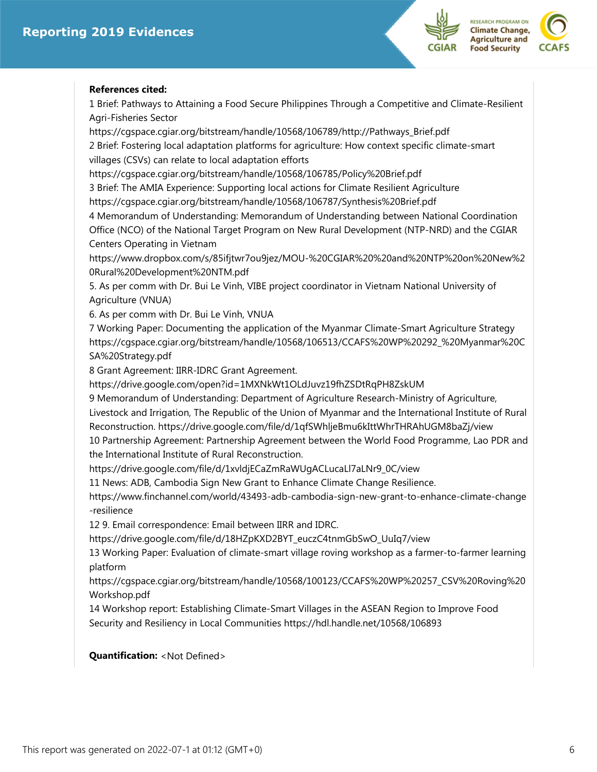



#### **References cited:**

1 Brief: Pathways to Attaining a Food Secure Philippines Through a Competitive and Climate-Resilient Agri-Fisheries Sector

https://cgspace.cgiar.org/bitstream/handle/10568/106789/http://Pathways\_Brief.pdf 2 Brief: Fostering local adaptation platforms for agriculture: How context specific climate-smart villages (CSVs) can relate to local adaptation efforts

https://cgspace.cgiar.org/bitstream/handle/10568/106785/Policy%20Brief.pdf

3 Brief: The AMIA Experience: Supporting local actions for Climate Resilient Agriculture https://cgspace.cgiar.org/bitstream/handle/10568/106787/Synthesis%20Brief.pdf

4 Memorandum of Understanding: Memorandum of Understanding between National Coordination Office (NCO) of the National Target Program on New Rural Development (NTP-NRD) and the CGIAR Centers Operating in Vietnam

https://www.dropbox.com/s/85ifjtwr7ou9jez/MOU-%20CGIAR%20%20and%20NTP%20on%20New%2 0Rural%20Development%20NTM.pdf

5. As per comm with Dr. Bui Le Vinh, VIBE project coordinator in Vietnam National University of Agriculture (VNUA)

6. As per comm with Dr. Bui Le Vinh, VNUA

7 Working Paper: Documenting the application of the Myanmar Climate-Smart Agriculture Strategy https://cgspace.cgiar.org/bitstream/handle/10568/106513/CCAFS%20WP%20292\_%20Myanmar%20C SA%20Strategy.pdf

8 Grant Agreement: IIRR-IDRC Grant Agreement.

https://drive.google.com/open?id=1MXNkWt1OLdJuvz19fhZSDtRqPH8ZskUM

9 Memorandum of Understanding: Department of Agriculture Research-Ministry of Agriculture,

Livestock and Irrigation, The Republic of the Union of Myanmar and the International Institute of Rural Reconstruction. https://drive.google.com/file/d/1qfSWhljeBmu6kIttWhrTHRAhUGM8baZj/view

10 Partnership Agreement: Partnership Agreement between the World Food Programme, Lao PDR and the International Institute of Rural Reconstruction.

https://drive.google.com/file/d/1xvldjECaZmRaWUgACLucaLl7aLNr9\_0C/view

11 News: ADB, Cambodia Sign New Grant to Enhance Climate Change Resilience.

https://www.finchannel.com/world/43493-adb-cambodia-sign-new-grant-to-enhance-climate-change -resilience

12 9. Email correspondence: Email between IIRR and IDRC.

https://drive.google.com/file/d/18HZpKXD2BYT\_euczC4tnmGbSwO\_UuIq7/view

13 Working Paper: Evaluation of climate-smart village roving workshop as a farmer-to-farmer learning platform

https://cgspace.cgiar.org/bitstream/handle/10568/100123/CCAFS%20WP%20257\_CSV%20Roving%20 Workshop.pdf

14 Workshop report: Establishing Climate-Smart Villages in the ASEAN Region to Improve Food Security and Resiliency in Local Communities https://hdl.handle.net/10568/106893

# **Quantification:** <Not Defined>